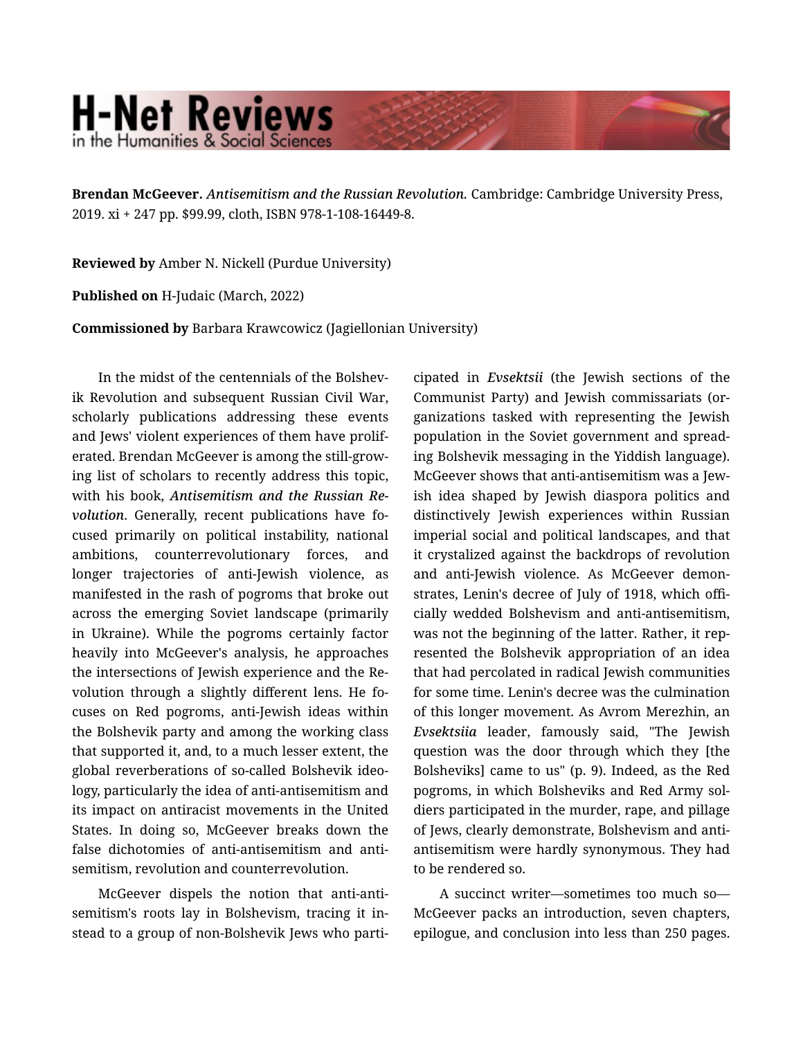## **H-Net Reviews** in the Humanities & Social Science

Brendan McGeever. *Antisemitism and the Russian Revolution.* Cambridge: Cambridge University Press, 2019. xi + 247 pp. \$99.99, cloth, ISBN 978-1-108-16449-8.

Reviewed by Amber N. Nickell (Purdue University)

Published on H-Judaic (March, 2022)

Commissioned by Barbara Krawcowicz (Jagiellonian University)

In the midst of the centennials of the Bolshevik Revolution and subsequent Russian Civil War, scholarly publications addressing these events and Jews' violent experiences of them have prolif‐ erated. Brendan McGeever is among the still-grow‐ ing list of scholars to recently address this topic, with his book, *Antisemitism and the Russian Re‐* volution. Generally, recent publications have focused primarily on political instability, national ambitions, counterrevolutionary forces, and longer trajectories of anti-Jewish violence, as manifested in the rash of pogroms that broke out across the emerging Soviet landscape (primarily in Ukraine). While the pogroms certainly factor heavily into McGeever's analysis, he approaches the intersections of Jewish experience and the Re‐ volution through a slightly different lens. He fo‐ cuses on Red pogroms, anti-Jewish ideas within the Bolshevik party and among the working class that supported it, and, to a much lesser extent, the global reverberations of so-called Bolshevik ideo‐ logy, particularly the idea of anti-antisemitism and its impact on antiracist movements in the United States. In doing so, McGeever breaks down the false dichotomies of anti-antisemitism and anti‐ semitism, revolution and counterrevolution.

McGeever dispels the notion that anti-anti‐ semitism's roots lay in Bolshevism, tracing it in‐ stead to a group of non-Bolshevik Jews who parti‐ cipated in *Evsektsii* (the Jewish sections of the Communist Party) and Jewish commissariats (or‐ ganizations tasked with representing the Jewish population in the Soviet government and spread‐ ing Bolshevik messaging in the Yiddish language). McGeever shows that anti-antisemitism was a Jew‐ ish idea shaped by Jewish diaspora politics and distinctively Jewish experiences within Russian imperial social and political landscapes, and that it crystalized against the backdrops of revolution and anti-Jewish violence. As McGeever demon‐ strates, Lenin's decree of July of 1918, which offi‐ cially wedded Bolshevism and anti-antisemitism, was not the beginning of the latter. Rather, it rep‐ resented the Bolshevik appropriation of an idea that had percolated in radical Jewish communities for some time. Lenin's decree was the culmination of this longer movement. As Avrom Merezhin, an *Evsektsiia* leader, famously said, "The Jewish question was the door through which they [the Bolsheviks] came to us" (p. 9). Indeed, as the Red pogroms, in which Bolsheviks and Red Army sol‐ diers participated in the murder, rape, and pillage of Jews, clearly demonstrate, Bolshevism and antiantisemitism were hardly synonymous. They had to be rendered so.

A succinct writer—sometimes too much so— McGeever packs an introduction, seven chapters, epilogue, and conclusion into less than 250 pages.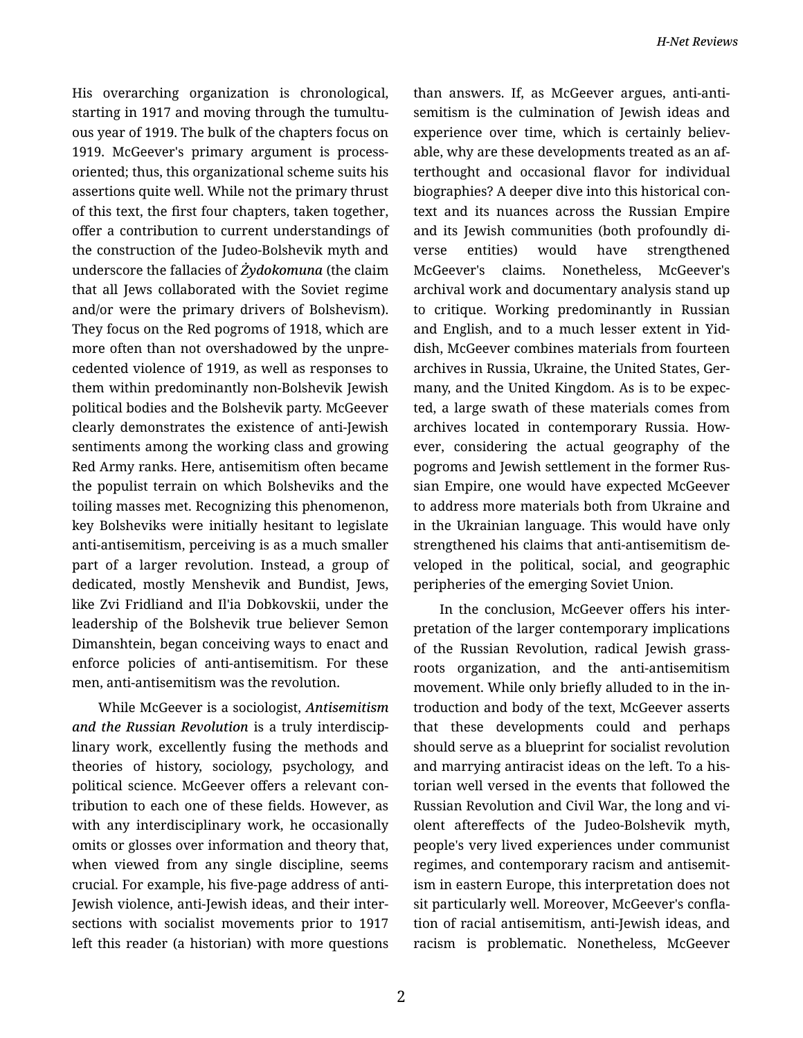His overarching organization is chronological, starting in 1917 and moving through the tumultu‐ ous year of 1919. The bulk of the chapters focus on 1919. McGeever's primary argument is processoriented; thus, this organizational scheme suits his assertions quite well. While not the primary thrust of this text, the first four chapters, taken together, offer a contribution to current understandings of the construction of the Judeo-Bolshevik myth and underscore the fallacies of *Żydokomuna* (the claim that all Jews collaborated with the Soviet regime and/or were the primary drivers of Bolshevism). They focus on the Red pogroms of 1918, which are more often than not overshadowed by the unpre‐ cedented violence of 1919, as well as responses to them within predominantly non-Bolshevik Jewish political bodies and the Bolshevik party. McGeever clearly demonstrates the existence of anti-Jewish sentiments among the working class and growing Red Army ranks. Here, antisemitism often became the populist terrain on which Bolsheviks and the toiling masses met. Recognizing this phenomenon, key Bolsheviks were initially hesitant to legislate anti-antisemitism, perceiving is as a much smaller part of a larger revolution. Instead, a group of dedicated, mostly Menshevik and Bundist, Jews, like Zvi Fridliand and Il'ia Dobkovskii, under the leadership of the Bolshevik true believer Semon Dimanshtein, began conceiving ways to enact and enforce policies of anti-antisemitism. For these men, anti-antisemitism was the revolution.

While McGeever is a sociologist, *Antisemitism and the Russian Revolution* is a truly interdiscip‐ linary work, excellently fusing the methods and theories of history, sociology, psychology, and political science. McGeever offers a relevant con‐ tribution to each one of these fields. However, as with any interdisciplinary work, he occasionally omits or glosses over information and theory that, when viewed from any single discipline, seems crucial. For example, his five-page address of anti-Jewish violence, anti-Jewish ideas, and their inter‐ sections with socialist movements prior to 1917 left this reader (a historian) with more questions than answers. If, as McGeever argues, anti-anti‐ semitism is the culmination of Jewish ideas and experience over time, which is certainly believable, why are these developments treated as an af‐ terthought and occasional flavor for individual biographies? A deeper dive into this historical con‐ text and its nuances across the Russian Empire and its Jewish communities (both profoundly di‐ verse entities) would have strengthened McGeever's claims. Nonetheless, McGeever's archival work and documentary analysis stand up to critique. Working predominantly in Russian and English, and to a much lesser extent in Yid‐ dish, McGeever combines materials from fourteen archives in Russia, Ukraine, the United States, Ger‐ many, and the United Kingdom. As is to be expec‐ ted, a large swath of these materials comes from archives located in contemporary Russia. How‐ ever, considering the actual geography of the pogroms and Jewish settlement in the former Rus‐ sian Empire, one would have expected McGeever to address more materials both from Ukraine and in the Ukrainian language. This would have only strengthened his claims that anti-antisemitism de‐ veloped in the political, social, and geographic peripheries of the emerging Soviet Union.

In the conclusion, McGeever offers his inter‐ pretation of the larger contemporary implications of the Russian Revolution, radical Jewish grass‐ roots organization, and the anti-antisemitism movement. While only briefly alluded to in the in‐ troduction and body of the text, McGeever asserts that these developments could and perhaps should serve as a blueprint for socialist revolution and marrying antiracist ideas on the left. To a his‐ torian well versed in the events that followed the Russian Revolution and Civil War, the long and vi‐ olent aftereffects of the Judeo-Bolshevik myth, people's very lived experiences under communist regimes, and contemporary racism and antisemit‐ ism in eastern Europe, this interpretation does not sit particularly well. Moreover, McGeever's confla‐ tion of racial antisemitism, anti-Jewish ideas, and racism is problematic. Nonetheless, McGeever

2